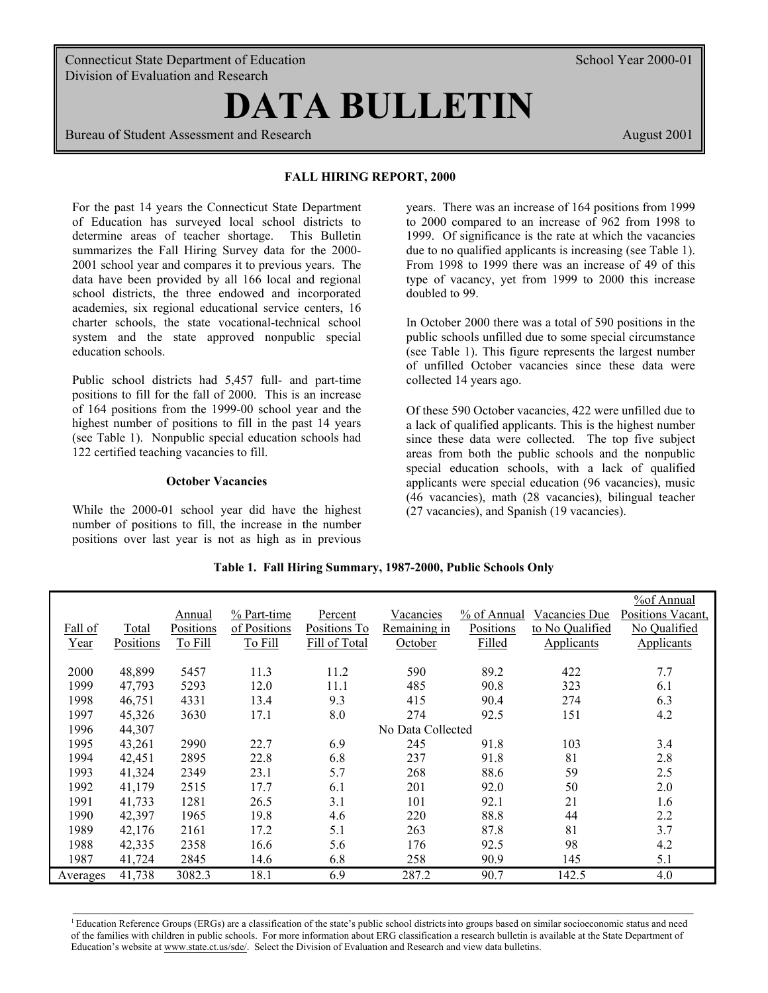Connecticut State Department of Education School Year 2000-01 School Year 2000-01 Division of Evaluation and Research

# **DATA BULLETIN**

Bureau of Student Assessment and Research August 2001 **August 2001** 

## **FALL HIRING REPORT, 2000**

For the past 14 years the Connecticut State Department of Education has surveyed local school districts to determine areas of teacher shortage. This Bulletin summarizes the Fall Hiring Survey data for the 2000- 2001 school year and compares it to previous years. The data have been provided by all 166 local and regional school districts, the three endowed and incorporated academies, six regional educational service centers, 16 charter schools, the state vocational-technical school system and the state approved nonpublic special education schools.

Public school districts had 5,457 full- and part-time positions to fill for the fall of 2000. This is an increase of 164 positions from the 1999-00 school year and the highest number of positions to fill in the past 14 years (see Table 1). Nonpublic special education schools had 122 certified teaching vacancies to fill.

## **October Vacancies**

While the 2000-01 school year did have the highest number of positions to fill, the increase in the number positions over last year is not as high as in previous years. There was an increase of 164 positions from 1999 to 2000 compared to an increase of 962 from 1998 to 1999. Of significance is the rate at which the vacancies due to no qualified applicants is increasing (see Table 1). From 1998 to 1999 there was an increase of 49 of this type of vacancy, yet from 1999 to 2000 this increase doubled to 99.

In October 2000 there was a total of 590 positions in the public schools unfilled due to some special circumstance (see Table 1). This figure represents the largest number of unfilled October vacancies since these data were collected 14 years ago.

Of these 590 October vacancies, 422 were unfilled due to a lack of qualified applicants. This is the highest number since these data were collected. The top five subject areas from both the public schools and the nonpublic special education schools, with a lack of qualified applicants were special education (96 vacancies), music (46 vacancies), math (28 vacancies), bilingual teacher (27 vacancies), and Spanish (19 vacancies).

|          |              |                  |              |               |                   |             |                 | %of Annual        |
|----------|--------------|------------------|--------------|---------------|-------------------|-------------|-----------------|-------------------|
|          |              | Annual           | % Part-time  | Percent       | Vacancies         | % of Annual | Vacancies Due   | Positions Vacant, |
| Fall of  | <u>Total</u> | <b>Positions</b> | of Positions | Positions To  | Remaining in      | Positions   | to No Qualified | No Qualified      |
| Year     | Positions    | To Fill          | To Fill      | Fill of Total | October           | Filled      | Applicants      | Applicants        |
|          |              |                  |              |               |                   |             |                 |                   |
| 2000     | 48,899       | 5457             | 11.3         | 11.2          | 590               | 89.2        | 422             | 7.7               |
| 1999     | 47,793       | 5293             | 12.0         | 11.1          | 485               | 90.8        | 323             | 6.1               |
| 1998     | 46,751       | 4331             | 13.4         | 9.3           | 415               | 90.4        | 274             | 6.3               |
| 1997     | 45,326       | 3630             | 17.1         | 8.0           | 274               | 92.5        | 151             | 4.2               |
| 1996     | 44,307       |                  |              |               | No Data Collected |             |                 |                   |
| 1995     | 43,261       | 2990             | 22.7         | 6.9           | 245               | 91.8        | 103             | 3.4               |
| 1994     | 42,451       | 2895             | 22.8         | 6.8           | 237               | 91.8        | 81              | 2.8               |
| 1993     | 41,324       | 2349             | 23.1         | 5.7           | 268               | 88.6        | 59              | 2.5               |
| 1992     | 41,179       | 2515             | 17.7         | 6.1           | 201               | 92.0        | 50              | 2.0               |
| 1991     | 41,733       | 1281             | 26.5         | 3.1           | 101               | 92.1        | 21              | 1.6               |
| 1990     | 42,397       | 1965             | 19.8         | 4.6           | 220               | 88.8        | 44              | 2.2               |
| 1989     | 42,176       | 2161             | 17.2         | 5.1           | 263               | 87.8        | 81              | 3.7               |
| 1988     | 42,335       | 2358             | 16.6         | 5.6           | 176               | 92.5        | 98              | 4.2               |
| 1987     | 41,724       | 2845             | 14.6         | 6.8           | 258               | 90.9        | 145             | 5.1               |
| Averages | 41,738       | 3082.3           | 18.1         | 6.9           | 287.2             | 90.7        | 142.5           | 4.0               |

## **Table 1. Fall Hiring Summary, 1987-2000, Public Schools Only**

 ${}^{1}$  Education Reference Groups (ERGs) are a classification of the state's public school districts into groups based on similar socioeconomic status and need of the families with children in public schools. For more information about ERG classification a research bulletin is available at the State Department of Education's website at www.state.ct.us/sde/. Select the Division of Evaluation and Research and view data bulletins.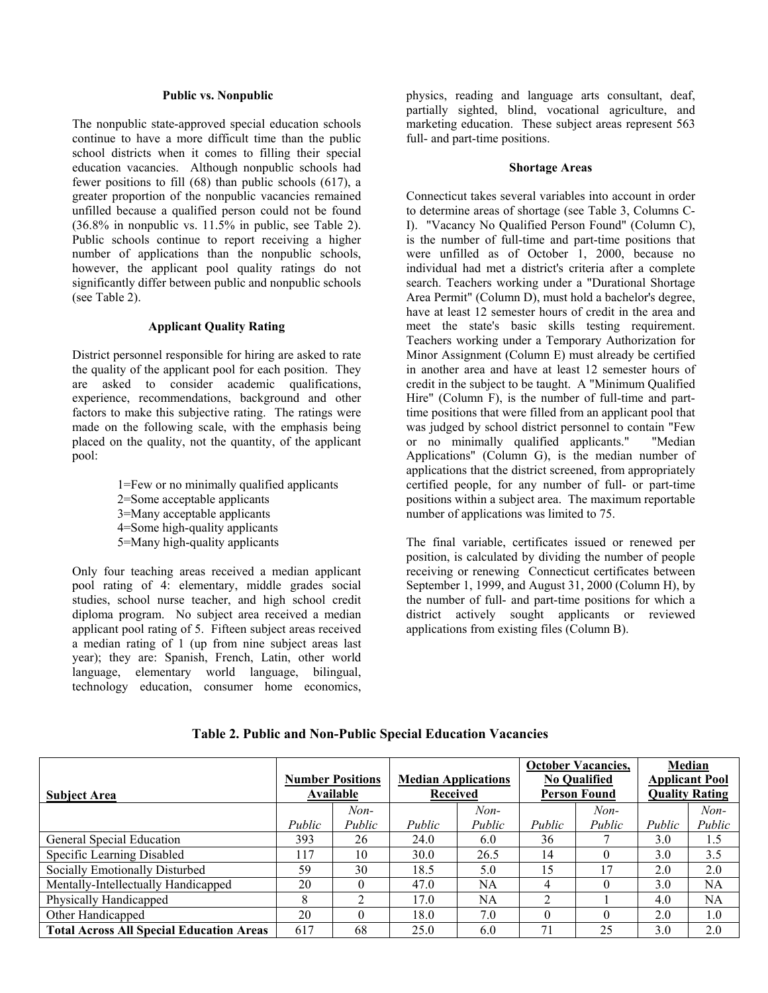#### **Public vs. Nonpublic**

The nonpublic state-approved special education schools continue to have a more difficult time than the public school districts when it comes to filling their special education vacancies. Although nonpublic schools had fewer positions to fill (68) than public schools (617), a greater proportion of the nonpublic vacancies remained unfilled because a qualified person could not be found (36.8% in nonpublic vs. 11.5% in public, see Table 2). Public schools continue to report receiving a higher number of applications than the nonpublic schools, however, the applicant pool quality ratings do not significantly differ between public and nonpublic schools (see Table 2).

# **Applicant Quality Rating**

District personnel responsible for hiring are asked to rate the quality of the applicant pool for each position. They are asked to consider academic qualifications, experience, recommendations, background and other factors to make this subjective rating. The ratings were made on the following scale, with the emphasis being placed on the quality, not the quantity, of the applicant pool:

> 1=Few or no minimally qualified applicants 2=Some acceptable applicants 3=Many acceptable applicants 4=Some high-quality applicants 5=Many high-quality applicants

Only four teaching areas received a median applicant pool rating of 4: elementary, middle grades social studies, school nurse teacher, and high school credit diploma program. No subject area received a median applicant pool rating of 5. Fifteen subject areas received a median rating of 1 (up from nine subject areas last year); they are: Spanish, French, Latin, other world language, elementary world language, bilingual, technology education, consumer home economics,

physics, reading and language arts consultant, deaf, partially sighted, blind, vocational agriculture, and marketing education. These subject areas represent 563 full- and part-time positions.

#### **Shortage Areas**

Connecticut takes several variables into account in order to determine areas of shortage (see Table 3, Columns C-I). "Vacancy No Qualified Person Found" (Column C), is the number of full-time and part-time positions that were unfilled as of October 1, 2000, because no individual had met a district's criteria after a complete search. Teachers working under a "Durational Shortage Area Permit" (Column D), must hold a bachelor's degree, have at least 12 semester hours of credit in the area and meet the state's basic skills testing requirement. Teachers working under a Temporary Authorization for Minor Assignment (Column E) must already be certified in another area and have at least 12 semester hours of credit in the subject to be taught. A "Minimum Qualified Hire" (Column F), is the number of full-time and parttime positions that were filled from an applicant pool that was judged by school district personnel to contain "Few or no minimally qualified applicants." "Median Applications" (Column G), is the median number of applications that the district screened, from appropriately certified people, for any number of full- or part-time positions within a subject area. The maximum reportable number of applications was limited to 75.

The final variable, certificates issued or renewed per position, is calculated by dividing the number of people receiving or renewing Connecticut certificates between September 1, 1999, and August 31, 2000 (Column H), by the number of full- and part-time positions for which a district actively sought applicants or reviewed applications from existing files (Column B).

| <b>Subject Area</b>                             | <b>Number Positions</b><br>Available |          | <b>Median Applications</b><br><b>Received</b> |        | <b>October Vacancies,</b><br><b>No Qualified</b><br><b>Person Found</b> |        | Median<br><b>Applicant Pool</b><br><b>Quality Rating</b> |           |
|-------------------------------------------------|--------------------------------------|----------|-----------------------------------------------|--------|-------------------------------------------------------------------------|--------|----------------------------------------------------------|-----------|
|                                                 |                                      | $Non-$   |                                               | $Non-$ |                                                                         | $Non-$ |                                                          | $Non-$    |
|                                                 | Public                               | Public   | Public                                        | Public | Public                                                                  | Public | Public                                                   | Public    |
| General Special Education                       | 393                                  | 26       | 24.0                                          | 6.0    | 36                                                                      |        | 3.0                                                      | 1.5       |
| Specific Learning Disabled                      | 117                                  | 10       | 30.0                                          | 26.5   | 14                                                                      |        | 3.0                                                      | 3.5       |
| Socially Emotionally Disturbed                  | 59                                   | 30       | 18.5                                          | 5.0    | 15                                                                      |        | 2.0                                                      | 2.0       |
| Mentally-Intellectually Handicapped             | 20                                   |          | 47.0                                          | NA     | 4                                                                       |        | 3.0                                                      | NA        |
| Physically Handicapped                          | 8                                    | ◠        | 17.0                                          | NA     | $\overline{2}$                                                          |        | 4.0                                                      | <b>NA</b> |
| Other Handicapped                               | 20                                   | $\Omega$ | 18.0                                          | 7.0    | $\theta$                                                                |        | 2.0                                                      | 1.0       |
| <b>Total Across All Special Education Areas</b> | 617                                  | 68       | 25.0                                          | 6.0    | 71                                                                      | 25     | 3.0                                                      | 2.0       |

**Table 2. Public and Non-Public Special Education Vacancies**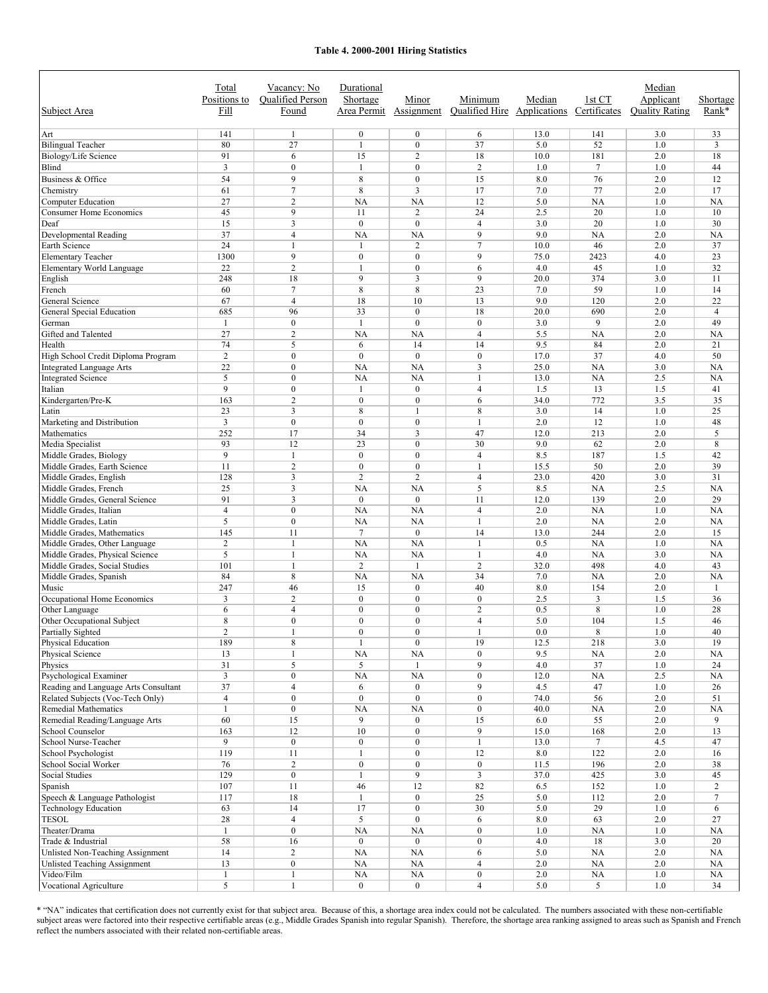#### **Table 4. 2000-2001 Hiring Statistics**

| Subject Area                                           | Total<br>Positions to<br>Fill | Vacancy: No<br><b>Oualified Person</b><br>Found | Durational<br>Shortage<br>Area Permit | Minor<br>Assignment              | Minimum<br><b>Oualified Hire</b> Applications Certificates | Median      | 1st CT         | Median<br>Applicant<br><b>Ouality Rating</b> | Shortage<br>Rank*    |
|--------------------------------------------------------|-------------------------------|-------------------------------------------------|---------------------------------------|----------------------------------|------------------------------------------------------------|-------------|----------------|----------------------------------------------|----------------------|
| Art                                                    | 141                           | $\mathbf{1}$                                    | $\boldsymbol{0}$                      | $\mathbf{0}$                     | 6                                                          | 13.0        | 141            | 3.0                                          | 33                   |
| <b>Bilingual Teacher</b>                               | 80                            | 27                                              | $\mathbf{1}$                          | $\boldsymbol{0}$                 | 37                                                         | 5.0         | 52             | 1.0                                          | 3                    |
| Biology/Life Science                                   | 91                            | 6                                               | 15                                    | $\overline{c}$                   | 18                                                         | 10.0        | 181            | 2.0                                          | 18                   |
| Blind                                                  | 3                             | $\mathbf{0}$                                    | $\mathbf{1}$                          | $\mathbf{0}$                     | $\overline{c}$                                             | 1.0         | $\overline{7}$ | 1.0                                          | 44                   |
| Business & Office                                      | 54                            | 9                                               | $\,8\,$                               | $\mathbf{0}$                     | 15                                                         | 8.0         | 76             | 2.0                                          | 12                   |
| Chemistry                                              | 61                            | $\overline{7}$                                  | 8                                     | 3                                | 17                                                         | 7.0         | 77             | 2.0                                          | 17                   |
| Computer Education                                     | 27                            | $\overline{c}$                                  | <b>NA</b>                             | <b>NA</b>                        | 12                                                         | 5.0         | <b>NA</b>      | 1.0                                          | NA                   |
| <b>Consumer Home Economics</b>                         | 45                            | 9                                               | 11                                    | $\overline{c}$                   | 24                                                         | 2.5         | 20             | 1.0                                          | 10                   |
| Deaf                                                   | 15                            | 3                                               | $\mathbf{0}$                          | $\mathbf{0}$                     | $\overline{4}$                                             | 3.0         | 20             | 1.0                                          | 30                   |
| Developmental Reading                                  | 37                            | $\overline{4}$                                  | <b>NA</b>                             | <b>NA</b>                        | 9                                                          | 9.0         | NA             | 2.0                                          | NA                   |
| Earth Science                                          | 24                            | 1                                               | $\mathbf{1}$                          | $\overline{c}$                   | $\overline{7}$                                             | 10.0        | 46             | 2.0                                          | 37                   |
| <b>Elementary Teacher</b><br>Elementary World Language | 1300<br>22                    | 9<br>$\overline{c}$                             | $\mathbf{0}$<br>$\mathbf{1}$          | $\mathbf{0}$<br>$\mathbf{0}$     | 9<br>6                                                     | 75.0<br>4.0 | 2423<br>45     | 4.0<br>1.0                                   | 23<br>32             |
| English                                                | 248                           | 18                                              | 9                                     | 3                                | 9                                                          | 20.0        | 374            | 3.0                                          | 11                   |
| French                                                 | 60                            | $\overline{7}$                                  | 8                                     | 8                                | 23                                                         | 7.0         | 59             | 1.0                                          | 14                   |
| General Science                                        | 67                            | $\overline{4}$                                  | 18                                    | 10                               | 13                                                         | 9.0         | 120            | 2.0                                          | 22                   |
| <b>General Special Education</b>                       | 685                           | 96                                              | 33                                    | $\mathbf{0}$                     | 18                                                         | 20.0        | 690            | 2.0                                          | $\overline{4}$       |
| German                                                 | 1                             | $\boldsymbol{0}$                                | $\mathbf{1}$                          | $\mathbf{0}$                     | $\mathbf{0}$                                               | 3.0         | 9              | 2.0                                          | 49                   |
| Gifted and Talented                                    | 27                            | $\overline{2}$                                  | <b>NA</b>                             | <b>NA</b>                        | $\overline{4}$                                             | 5.5         | NA             | 2.0                                          | NA                   |
| Health                                                 | 74                            | 5                                               | 6                                     | 14                               | 14                                                         | 9.5         | 84             | 2.0                                          | 21                   |
| High School Credit Diploma Program                     | $\overline{2}$                | $\mathbf{0}$                                    | $\mathbf{0}$                          | $\mathbf{0}$                     | $\mathbf{0}$                                               | 17.0        | 37             | 4.0                                          | 50                   |
| <b>Integrated Language Arts</b>                        | 22                            | $\mathbf{0}$                                    | <b>NA</b>                             | <b>NA</b>                        | 3                                                          | 25.0        | NA             | 3.0                                          | NA                   |
| <b>Integrated Science</b>                              | 5                             | $\mathbf{0}$                                    | NA                                    | <b>NA</b>                        | $\mathbf{1}$                                               | 13.0        | <b>NA</b>      | 2.5                                          | NA                   |
| Italian                                                | 9                             | $\mathbf{0}$                                    | $\mathbf{1}$                          | $\boldsymbol{0}$                 | $\overline{4}$                                             | 1.5         | 13             | 1.5                                          | 41                   |
| Kindergarten/Pre-K                                     | 163                           | $\overline{2}$                                  | $\mathbf{0}$                          | $\boldsymbol{0}$<br>$\mathbf{1}$ | 6                                                          | 34.0        | 772            | 3.5                                          | 35                   |
| Latin<br>Marketing and Distribution                    | 23<br>3                       | 3<br>$\mathbf{0}$                               | 8<br>$\mathbf{0}$                     | $\mathbf{0}$                     | 8<br>$\mathbf{1}$                                          | 3.0<br>2.0  | 14<br>12       | 1.0<br>1.0                                   | 25<br>48             |
| Mathematics                                            | 252                           | 17                                              | 34                                    | 3                                | 47                                                         | 12.0        | 213            | 2.0                                          | 5                    |
| Media Specialist                                       | 93                            | 12                                              | 23                                    | $\mathbf{0}$                     | 30                                                         | 9.0         | 62             | 2.0                                          | 8                    |
| Middle Grades, Biology                                 | 9                             | $\mathbf{1}$                                    | $\mathbf{0}$                          | $\mathbf{0}$                     | $\overline{4}$                                             | 8.5         | 187            | 1.5                                          | 42                   |
| Middle Grades, Earth Science                           | 11                            | $\overline{2}$                                  | $\boldsymbol{0}$                      | $\boldsymbol{0}$                 | $\mathbf{1}$                                               | 15.5        | 50             | 2.0                                          | 39                   |
| Middle Grades, English                                 | 128                           | 3                                               | $\overline{2}$                        | $\overline{2}$                   | $\overline{4}$                                             | 23.0        | 420            | 3.0                                          | 31                   |
| Middle Grades, French                                  | 25                            | 3                                               | <b>NA</b>                             | <b>NA</b>                        | 5                                                          | 8.5         | <b>NA</b>      | 2.5                                          | NA                   |
| Middle Grades, General Science                         | 91                            | $\overline{3}$                                  | $\mathbf{0}$                          | $\mathbf{0}$                     | 11                                                         | 12.0        | 139            | 2.0                                          | 29                   |
| Middle Grades, Italian                                 | $\overline{4}$                | $\mathbf{0}$                                    | NA                                    | <b>NA</b>                        | $\overline{4}$                                             | 2.0         | <b>NA</b>      | 1.0                                          | NA                   |
| Middle Grades, Latin<br>Middle Grades, Mathematics     | 5<br>145                      | $\mathbf{0}$<br>11                              | NA<br>7                               | <b>NA</b><br>$\mathbf{0}$        | $\mathbf{1}$<br>14                                         | 2.0<br>13.0 | NA<br>244      | 2.0<br>2.0                                   | NA<br>15             |
| Middle Grades, Other Language                          | $\overline{c}$                | $\mathbf{1}$                                    | NA                                    | <b>NA</b>                        | $\mathbf{1}$                                               | 0.5         | <b>NA</b>      | 1.0                                          | NA                   |
| Middle Grades, Physical Science                        | 5                             | 1                                               | NA                                    | <b>NA</b>                        | $\mathbf{1}$                                               | 4.0         | <b>NA</b>      | 3.0                                          | NA                   |
| Middle Grades, Social Studies                          | 101                           | $\mathbf{1}$                                    | $\overline{c}$                        | $\mathbf{1}$                     | $\overline{c}$                                             | 32.0        | 498            | 4.0                                          | 43                   |
| Middle Grades, Spanish                                 | 84                            | 8                                               | <b>NA</b>                             | NA                               | 34                                                         | 7.0         | NA             | 2.0                                          | NA                   |
| Music                                                  | 247                           | 46                                              | 15                                    | $\bf{0}$                         | 40                                                         | 8.0         | 154            | 2.0                                          | $\mathbf{1}$         |
| Occupational Home Economics                            | 3                             | $\overline{2}$                                  | $\mathbf{0}$                          | $\mathbf{0}$                     | $\mathbf{0}$                                               | 2.5         | $\overline{3}$ | 1.5                                          | 36                   |
| Other Language                                         | 6                             | $\overline{4}$                                  | $\mathbf{0}$                          | $\mathbf{0}$                     | $\overline{2}$                                             | 0.5         | 8              | 1.0                                          | 28                   |
| Other Occupational Subject                             | 8                             | $\mathbf{0}$                                    | $\mathbf{0}$                          | $\mathbf{0}$                     | $\overline{4}$                                             | 5.0         | 104            | 1.5                                          | 46                   |
| <b>Partially Sighted</b>                               | $\overline{2}$                | $\mathbf{1}$                                    | $\Omega$                              | $\theta$                         | 1                                                          | 0.0         | 8              | 1.0                                          | 40                   |
| <b>Physical Education</b><br>Physical Science          | 189<br>13                     | 8<br>$\mathbf{1}$                               | $\mathbf{1}$<br>NA                    | $\bf{0}$<br>$\rm NA$             | 19<br>$\mathbf{0}$                                         | 12.5<br>9.5 | 218<br>NA      | 3.0<br>2.0                                   | 19<br>NA             |
| Physics                                                | 31                            | 5                                               | 5                                     | $\mathbf{1}$                     | $\overline{9}$                                             | 4.0         | 37             | 1.0                                          | 24                   |
| Psychological Examiner                                 | $\mathfrak{Z}$                | $\bf{0}$                                        | NA                                    | NA                               | $\mathbf{0}$                                               | 12.0        | NA             | 2.5                                          | NA                   |
| Reading and Language Arts Consultant                   | 37                            | $\overline{4}$                                  | 6                                     | $\bf{0}$                         | 9                                                          | 4.5         | 47             | 1.0                                          | 26                   |
| Related Subjects (Voc-Tech Only)                       | $\overline{4}$                | $\bf{0}$                                        | $\boldsymbol{0}$                      | $\bf{0}$                         | $\boldsymbol{0}$                                           | 74.0        | 56             | 2.0                                          | 51                   |
| <b>Remedial Mathematics</b>                            | $\mathbf{1}$                  | $\boldsymbol{0}$                                | NA                                    | NA                               | $\boldsymbol{0}$                                           | 40.0        | NA             | 2.0                                          | NA                   |
| Remedial Reading/Language Arts                         | 60                            | 15                                              | 9                                     | $\boldsymbol{0}$                 | 15                                                         | 6.0         | 55             | 2.0                                          | 9                    |
| <b>School Counselor</b>                                | 163                           | 12                                              | 10                                    | $\boldsymbol{0}$                 | 9                                                          | 15.0        | 168            | 2.0                                          | 13                   |
| School Nurse-Teacher                                   | 9                             | $\boldsymbol{0}$                                | $\boldsymbol{0}$                      | $\boldsymbol{0}$                 | $\mathbf{1}$                                               | 13.0        | $\tau$         | 4.5                                          | 47                   |
| School Psychologist                                    | 119                           | 11                                              | $\mathbf{1}$                          | $\boldsymbol{0}$                 | 12                                                         | $8.0\,$     | 122            | 2.0                                          | 16                   |
| School Social Worker                                   | 76                            | $\overline{c}$                                  | $\boldsymbol{0}$                      | $\boldsymbol{0}$                 | $\boldsymbol{0}$                                           | 11.5        | 196            | 2.0                                          | 38                   |
| Social Studies                                         | 129<br>107                    | $\boldsymbol{0}$                                | $\mathbf{1}$                          | 9<br>12                          | $\overline{\mathbf{3}}$<br>82                              | 37.0        | 425<br>152     | 3.0                                          | 45<br>$\overline{c}$ |
| Spanish<br>Speech & Language Pathologist               | 117                           | 11<br>18                                        | 46<br>$\mathbf{1}$                    | $\boldsymbol{0}$                 | 25                                                         | 6.5<br>5.0  | 112            | 1.0<br>2.0                                   | $\tau$               |
| <b>Technology Education</b>                            | 63                            | 14                                              | 17                                    | $\boldsymbol{0}$                 | 30                                                         | 5.0         | 29             | 1.0                                          | 6                    |
| TESOL                                                  | 28                            | $\overline{4}$                                  | 5                                     | $\boldsymbol{0}$                 | 6                                                          | $8.0\,$     | 63             | 2.0                                          | 27                   |
| Theater/Drama                                          | $\mathbf{1}$                  | $\boldsymbol{0}$                                | NA                                    | NA                               | $\boldsymbol{0}$                                           | 1.0         | NA             | 1.0                                          | NA                   |
| Trade & Industrial                                     | 58                            | 16                                              | $\bf{0}$                              | $\bf{0}$                         | $\boldsymbol{0}$                                           | 4.0         | 18             | 3.0                                          | 20                   |
| Unlisted Non-Teaching Assignment                       | 14                            | $\overline{c}$                                  | NA                                    | NA                               | 6                                                          | 5.0         | NA             | 2.0                                          | NA                   |
| <b>Unlisted Teaching Assignment</b>                    | 13                            | $\bf{0}$                                        | NA                                    | NA                               | $\overline{4}$                                             | 2.0         | NA             | 2.0                                          | NA                   |
| Video/Film                                             | $\mathbf{1}$                  | $\mathbf{1}$                                    | NA                                    | NA                               | $\boldsymbol{0}$                                           | 2.0         | NA             | 1.0                                          | NA                   |
| Vocational Agriculture                                 | 5                             | $\mathbf{1}$                                    | $\boldsymbol{0}$                      | $\boldsymbol{0}$                 | $\overline{\mathbf{4}}$                                    | 5.0         | 5              | 1.0                                          | 34                   |

reflect the numbers associated with their related non-certifiable areas. ar Spanish). Therefore, the shortage area ranking assigned to areas such as Spanish \* "NA" indicates that certification does not currently exist for that subject area. Because of this, a shortage area index could not be calculated. The numbers associated with these non-certifiable subject areas were factored into their respective certifiable areas (e.g., Middle Grades Spanish into regular Spanish). Therefore, the shortage area ranking assigned to areas such as Spanish and French Because of this, a shortage area index cou